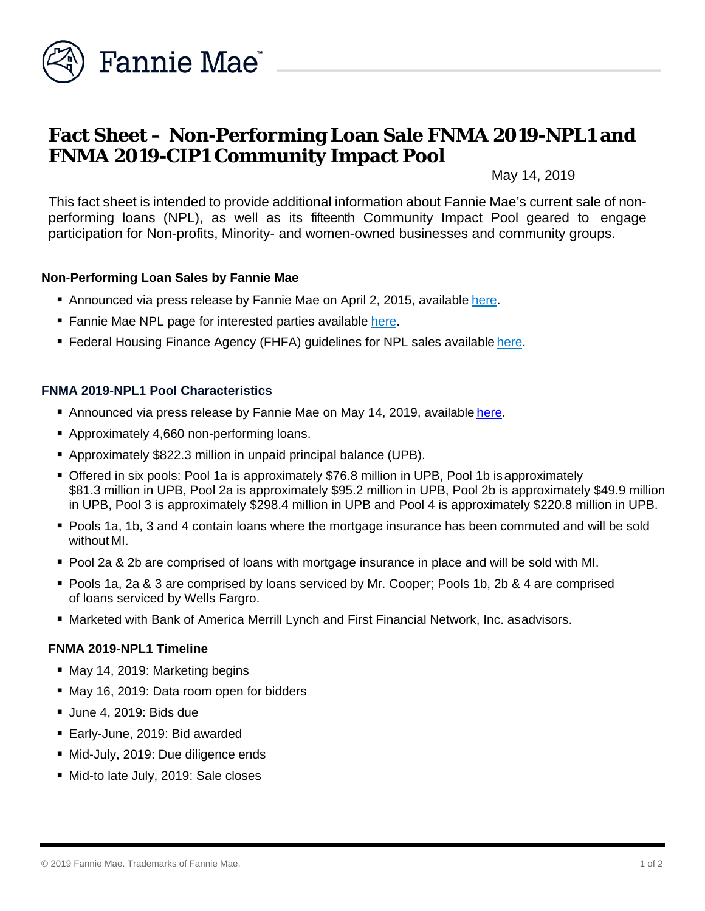

# **Fact Sheet – Non-Performing Loan Sale FNMA 2019-NPL1 and FNMA 2019-CIP1 Community Impact Pool**

May 14, 2019

This fact sheet is intended to provide additional information about Fannie Mae's current sale of nonperforming loans (NPL), as well as its fifteenth Community Impact Pool geared to engage participation for Non-profits, Minority- and women-owned businesses and community groups.

#### **Non-Performing Loan Sales by Fannie Mae**

- Announced via press release by Fannie Mae on April 2, 2015, available [here.](http://www.fanniemae.com/portal/media/financial-news/2015/6233.html)
- Fannie Mae NPL page for interested parties available [here.](http://www.fanniemae.com/portal/funding-the-market/npl/index.html)
- Federal Housing Finance Agency (FHFA) guidelines for NPL sales available [here.](http://www.fhfa.gov/Media/PublicAffairs/Pages/Non-Performing-Loan-%28NPL%29-Sale-Requirements.aspx)

#### **FNMA 2019-NPL1 Pool Characteristics**

- Announced via press release by Fannie Mae on May 14, 2019, available [here.](http://www.fanniemae.com/portal/media/financial-news/2019/non-performing-loan-sale-6869.html)
- Approximately 4,660 non-performing loans.
- Approximately \$822.3 million in unpaid principal balance (UPB).
- Offered in six pools: Pool 1a is approximately \$76.8 million in UPB, Pool 1b isapproximately \$81.3 million in UPB, Pool 2a is approximately \$95.2 million in UPB, Pool 2b is approximately \$49.9 million in UPB, Pool 3 is approximately \$298.4 million in UPB and Pool 4 is approximately \$220.8 million in UPB.
- Pools 1a, 1b, 3 and 4 contain loans where the mortgage insurance has been commuted and will be sold without MI.
- Pool 2a & 2b are comprised of loans with mortgage insurance in place and will be sold with MI.
- Pools 1a, 2a & 3 are comprised by loans serviced by Mr. Cooper; Pools 1b, 2b & 4 are comprised of loans serviced by Wells Fargro.
- Marketed with Bank of America Merrill Lynch and First Financial Network, Inc. asadvisors.

#### **FNMA 2019-NPL1 Timeline**

- May 14, 2019: Marketing begins
- May 16, 2019: Data room open for bidders
- Uune 4, 2019: Bids due
- Early-June, 2019: Bid awarded
- Mid-July, 2019: Due diligence ends
- Mid-to late July, 2019: Sale closes